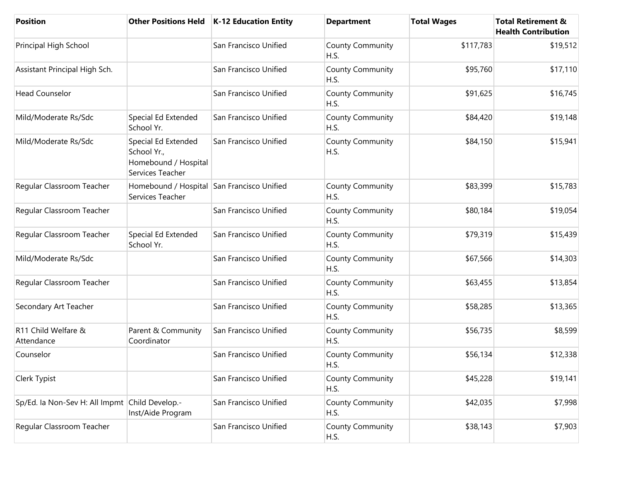| <b>Position</b>                                |                                                                                | Other Positions Held   K-12 Education Entity | <b>Department</b>               | <b>Total Wages</b> | <b>Total Retirement &amp;</b><br><b>Health Contribution</b> |
|------------------------------------------------|--------------------------------------------------------------------------------|----------------------------------------------|---------------------------------|--------------------|-------------------------------------------------------------|
| Principal High School                          |                                                                                | San Francisco Unified                        | <b>County Community</b><br>H.S. | \$117,783          | \$19,512                                                    |
| Assistant Principal High Sch.                  |                                                                                | San Francisco Unified                        | <b>County Community</b><br>H.S. | \$95,760           | \$17,110                                                    |
| <b>Head Counselor</b>                          |                                                                                | San Francisco Unified                        | <b>County Community</b><br>H.S. | \$91,625           | \$16,745                                                    |
| Mild/Moderate Rs/Sdc                           | Special Ed Extended<br>School Yr.                                              | San Francisco Unified                        | <b>County Community</b><br>H.S. | \$84,420           | \$19,148                                                    |
| Mild/Moderate Rs/Sdc                           | Special Ed Extended<br>School Yr.,<br>Homebound / Hospital<br>Services Teacher | San Francisco Unified                        | <b>County Community</b><br>H.S. | \$84,150           | \$15,941                                                    |
| Regular Classroom Teacher                      | Homebound / Hospital San Francisco Unified<br>Services Teacher                 |                                              | <b>County Community</b><br>H.S. | \$83,399           | \$15,783                                                    |
| Regular Classroom Teacher                      |                                                                                | San Francisco Unified                        | <b>County Community</b><br>H.S. | \$80,184           | \$19,054                                                    |
| Regular Classroom Teacher                      | Special Ed Extended<br>School Yr.                                              | San Francisco Unified                        | <b>County Community</b><br>H.S. | \$79,319           | \$15,439                                                    |
| Mild/Moderate Rs/Sdc                           |                                                                                | San Francisco Unified                        | <b>County Community</b><br>H.S. | \$67,566           | \$14,303                                                    |
| Regular Classroom Teacher                      |                                                                                | San Francisco Unified                        | <b>County Community</b><br>H.S. | \$63,455           | \$13,854                                                    |
| Secondary Art Teacher                          |                                                                                | San Francisco Unified                        | <b>County Community</b><br>H.S. | \$58,285           | \$13,365                                                    |
| R11 Child Welfare &<br>Attendance              | Parent & Community<br>Coordinator                                              | San Francisco Unified                        | <b>County Community</b><br>H.S. | \$56,735           | \$8,599                                                     |
| Counselor                                      |                                                                                | San Francisco Unified                        | <b>County Community</b><br>H.S. | \$56,134           | \$12,338                                                    |
| Clerk Typist                                   |                                                                                | San Francisco Unified                        | <b>County Community</b><br>H.S. | \$45,228           | \$19,141                                                    |
| Sp/Ed. la Non-Sev H: All Impmt Child Develop.- | Inst/Aide Program                                                              | San Francisco Unified                        | <b>County Community</b><br>H.S. | \$42,035           | \$7,998                                                     |
| Regular Classroom Teacher                      |                                                                                | San Francisco Unified                        | <b>County Community</b><br>H.S. | \$38,143           | \$7,903                                                     |